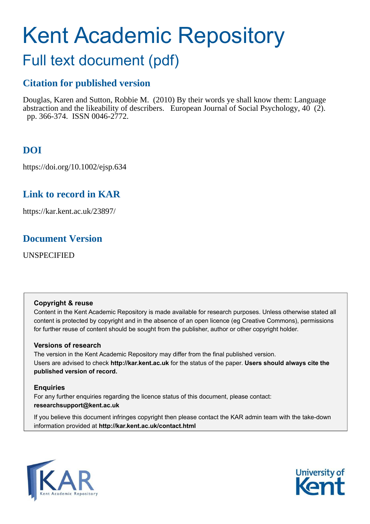# Kent Academic Repository

## Full text document (pdf)

## **Citation for published version**

Douglas, Karen and Sutton, Robbie M. (2010) By their words ye shall know them: Language abstraction and the likeability of describers. European Journal of Social Psychology,  $40\,(2)$ . pp. 366-374. ISSN 0046-2772.

## **DOI**

https://doi.org/10.1002/ejsp.634

## **Link to record in KAR**

https://kar.kent.ac.uk/23897/

## **Document Version**

UNSPECIFIED

#### **Copyright & reuse**

Content in the Kent Academic Repository is made available for research purposes. Unless otherwise stated all content is protected by copyright and in the absence of an open licence (eg Creative Commons), permissions for further reuse of content should be sought from the publisher, author or other copyright holder.

#### **Versions of research**

The version in the Kent Academic Repository may differ from the final published version. Users are advised to check **http://kar.kent.ac.uk** for the status of the paper. **Users should always cite the published version of record.**

#### **Enquiries**

For any further enquiries regarding the licence status of this document, please contact: **researchsupport@kent.ac.uk**

If you believe this document infringes copyright then please contact the KAR admin team with the take-down information provided at **http://kar.kent.ac.uk/contact.html**



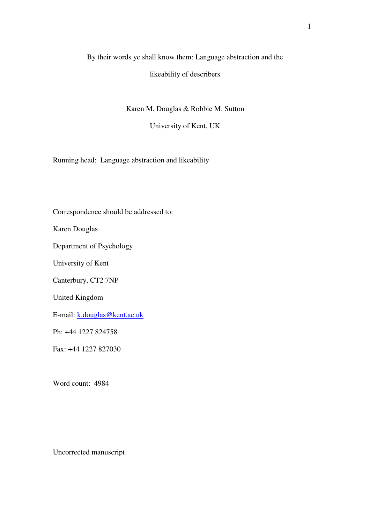## By their words ye shall know them: Language abstraction and the likeability of describers

Karen M. Douglas & Robbie M. Sutton

University of Kent, UK

Running head: Language abstraction and likeability

Correspondence should be addressed to:

Karen Douglas

Department of Psychology

University of Kent

Canterbury, CT2 7NP

United Kingdom

E-mail: k.douglas@kent.ac.uk

Ph: +44 1227 824758

Fax: +44 1227 827030

Word count: 4984

Uncorrected manuscript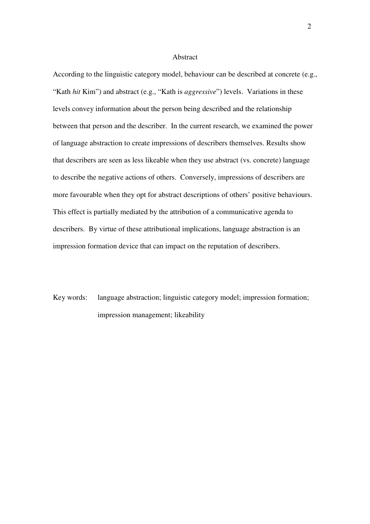#### Abstract

According to the linguistic category model, behaviour can be described at concrete (e.g., "Kath *hit* Kim") and abstract (e.g., "Kath is *aggressive*") levels. Variations in these levels convey information about the person being described and the relationship between that person and the describer. In the current research, we examined the power of language abstraction to create impressions of describers themselves. Results show that describers are seen as less likeable when they use abstract (vs. concrete) language to describe the negative actions of others. Conversely, impressions of describers are more favourable when they opt for abstract descriptions of others' positive behaviours. This effect is partially mediated by the attribution of a communicative agenda to describers. By virtue of these attributional implications, language abstraction is an impression formation device that can impact on the reputation of describers.

Key words: language abstraction; linguistic category model; impression formation; impression management; likeability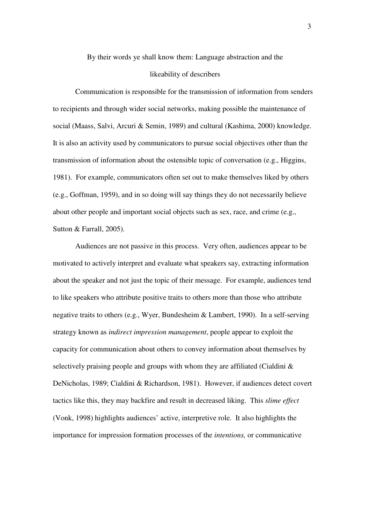By their words ye shall know them: Language abstraction and the

#### likeability of describers

Communication is responsible for the transmission of information from senders to recipients and through wider social networks, making possible the maintenance of social (Maass, Salvi, Arcuri & Semin, 1989) and cultural (Kashima, 2000) knowledge. It is also an activity used by communicators to pursue social objectives other than the transmission of information about the ostensible topic of conversation (e.g., Higgins, 1981). For example, communicators often set out to make themselves liked by others (e.g., Goffman, 1959), and in so doing will say things they do not necessarily believe about other people and important social objects such as sex, race, and crime (e.g., Sutton & Farrall, 2005).

Audiences are not passive in this process. Very often, audiences appear to be motivated to actively interpret and evaluate what speakers say, extracting information about the speaker and not just the topic of their message. For example, audiences tend to like speakers who attribute positive traits to others more than those who attribute negative traits to others (e.g., Wyer, Bundesheim & Lambert, 1990). In a self-serving strategy known as *indirect impression management*, people appear to exploit the capacity for communication about others to convey information about themselves by selectively praising people and groups with whom they are affiliated (Cialdini  $\&$ DeNicholas, 1989; Cialdini & Richardson, 1981). However, if audiences detect covert tactics like this, they may backfire and result in decreased liking. This *slime effect* (Vonk, 1998) highlights audiences' active, interpretive role. It also highlights the importance for impression formation processes of the *intentions,* or communicative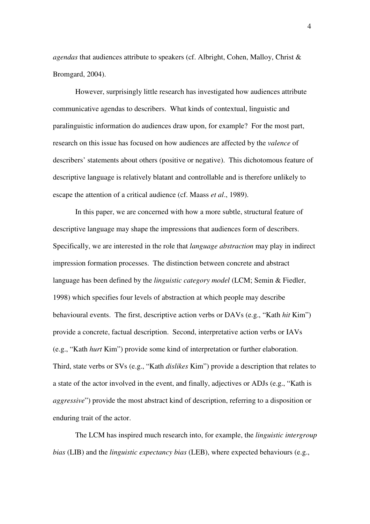*agendas* that audiences attribute to speakers (cf. Albright, Cohen, Malloy, Christ & Bromgard, 2004).

However, surprisingly little research has investigated how audiences attribute communicative agendas to describers. What kinds of contextual, linguistic and paralinguistic information do audiences draw upon, for example? For the most part, research on this issue has focused on how audiences are affected by the *valence* of describers' statements about others (positive or negative). This dichotomous feature of descriptive language is relatively blatant and controllable and is therefore unlikely to escape the attention of a critical audience (cf. Maass *et al*., 1989).

In this paper, we are concerned with how a more subtle, structural feature of descriptive language may shape the impressions that audiences form of describers. Specifically, we are interested in the role that *language abstraction* may play in indirect impression formation processes. The distinction between concrete and abstract language has been defined by the *linguistic category model* (LCM; Semin & Fiedler, 1998) which specifies four levels of abstraction at which people may describe behavioural events. The first, descriptive action verbs or DAVs (e.g., "Kath *hit* Kim") provide a concrete, factual description. Second, interpretative action verbs or IAVs (e.g., "Kath *hurt* Kim") provide some kind of interpretation or further elaboration. Third, state verbs or SVs (e.g., "Kath *dislikes* Kim") provide a description that relates to a state of the actor involved in the event, and finally, adjectives or ADJs (e.g., "Kath is *aggressive*") provide the most abstract kind of description, referring to a disposition or enduring trait of the actor.

 The LCM has inspired much research into, for example, the *linguistic intergroup bias* (LIB) and the *linguistic expectancy bias* (LEB), where expected behaviours (e.g.,

4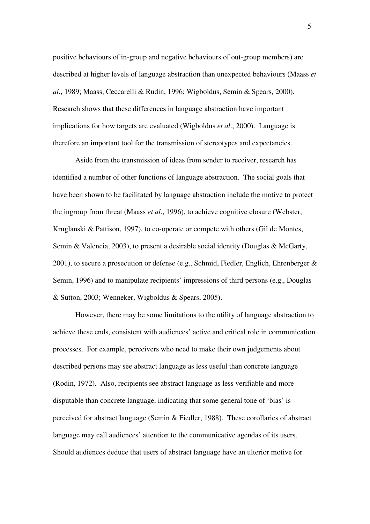positive behaviours of in-group and negative behaviours of out-group members) are described at higher levels of language abstraction than unexpected behaviours (Maass *et al*., 1989; Maass, Ceccarelli & Rudin, 1996; Wigboldus, Semin & Spears, 2000). Research shows that these differences in language abstraction have important implications for how targets are evaluated (Wigboldus *et al*., 2000). Language is therefore an important tool for the transmission of stereotypes and expectancies.

Aside from the transmission of ideas from sender to receiver, research has identified a number of other functions of language abstraction. The social goals that have been shown to be facilitated by language abstraction include the motive to protect the ingroup from threat (Maass *et al*., 1996), to achieve cognitive closure (Webster, Kruglanski & Pattison, 1997), to co-operate or compete with others (Gil de Montes, Semin & Valencia, 2003), to present a desirable social identity (Douglas & McGarty, 2001), to secure a prosecution or defense (e.g., Schmid, Fiedler, Englich, Ehrenberger & Semin, 1996) and to manipulate recipients' impressions of third persons (e.g., Douglas & Sutton, 2003; Wenneker, Wigboldus & Spears, 2005).

However, there may be some limitations to the utility of language abstraction to achieve these ends, consistent with audiences' active and critical role in communication processes. For example, perceivers who need to make their own judgements about described persons may see abstract language as less useful than concrete language (Rodin, 1972). Also, recipients see abstract language as less verifiable and more disputable than concrete language, indicating that some general tone of 'bias' is perceived for abstract language (Semin & Fiedler, 1988). These corollaries of abstract language may call audiences' attention to the communicative agendas of its users. Should audiences deduce that users of abstract language have an ulterior motive for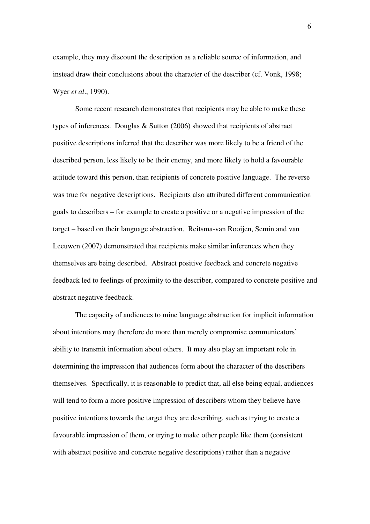example, they may discount the description as a reliable source of information, and instead draw their conclusions about the character of the describer (cf. Vonk, 1998; Wyer *et al*., 1990).

Some recent research demonstrates that recipients may be able to make these types of inferences. Douglas & Sutton (2006) showed that recipients of abstract positive descriptions inferred that the describer was more likely to be a friend of the described person, less likely to be their enemy, and more likely to hold a favourable attitude toward this person, than recipients of concrete positive language. The reverse was true for negative descriptions. Recipients also attributed different communication goals to describers – for example to create a positive or a negative impression of the target – based on their language abstraction. Reitsma-van Rooijen, Semin and van Leeuwen (2007) demonstrated that recipients make similar inferences when they themselves are being described. Abstract positive feedback and concrete negative feedback led to feelings of proximity to the describer, compared to concrete positive and abstract negative feedback.

The capacity of audiences to mine language abstraction for implicit information about intentions may therefore do more than merely compromise communicators' ability to transmit information about others. It may also play an important role in determining the impression that audiences form about the character of the describers themselves. Specifically, it is reasonable to predict that, all else being equal, audiences will tend to form a more positive impression of describers whom they believe have positive intentions towards the target they are describing, such as trying to create a favourable impression of them, or trying to make other people like them (consistent with abstract positive and concrete negative descriptions) rather than a negative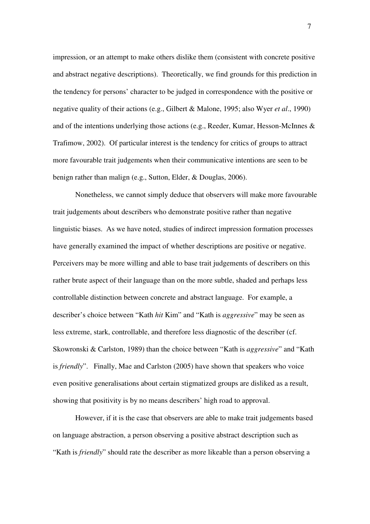impression, or an attempt to make others dislike them (consistent with concrete positive and abstract negative descriptions). Theoretically, we find grounds for this prediction in the tendency for persons' character to be judged in correspondence with the positive or negative quality of their actions (e.g., Gilbert & Malone, 1995; also Wyer *et al*., 1990) and of the intentions underlying those actions (e.g., Reeder, Kumar, Hesson-McInnes & Trafimow, 2002). Of particular interest is the tendency for critics of groups to attract more favourable trait judgements when their communicative intentions are seen to be benign rather than malign (e.g., Sutton, Elder, & Douglas, 2006).

Nonetheless, we cannot simply deduce that observers will make more favourable trait judgements about describers who demonstrate positive rather than negative linguistic biases. As we have noted, studies of indirect impression formation processes have generally examined the impact of whether descriptions are positive or negative. Perceivers may be more willing and able to base trait judgements of describers on this rather brute aspect of their language than on the more subtle, shaded and perhaps less controllable distinction between concrete and abstract language. For example, a describer's choice between "Kath *hit* Kim" and "Kath is *aggressive*" may be seen as less extreme, stark, controllable, and therefore less diagnostic of the describer (cf. Skowronski & Carlston, 1989) than the choice between "Kath is *aggressive*" and "Kath is *friendly*". Finally, Mae and Carlston (2005) have shown that speakers who voice even positive generalisations about certain stigmatized groups are disliked as a result, showing that positivity is by no means describers' high road to approval.

However, if it is the case that observers are able to make trait judgements based on language abstraction, a person observing a positive abstract description such as "Kath is *friendly*" should rate the describer as more likeable than a person observing a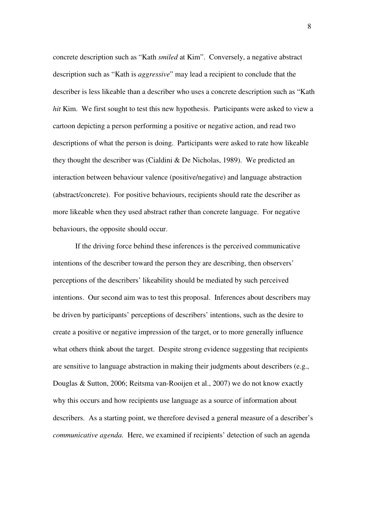concrete description such as "Kath *smiled* at Kim". Conversely, a negative abstract description such as "Kath is *aggressive*" may lead a recipient to conclude that the describer is less likeable than a describer who uses a concrete description such as "Kath *hit* Kim. We first sought to test this new hypothesis. Participants were asked to view a cartoon depicting a person performing a positive or negative action, and read two descriptions of what the person is doing. Participants were asked to rate how likeable they thought the describer was (Cialdini & De Nicholas, 1989). We predicted an interaction between behaviour valence (positive/negative) and language abstraction (abstract/concrete). For positive behaviours, recipients should rate the describer as more likeable when they used abstract rather than concrete language. For negative behaviours, the opposite should occur.

If the driving force behind these inferences is the perceived communicative intentions of the describer toward the person they are describing, then observers' perceptions of the describers' likeability should be mediated by such perceived intentions. Our second aim was to test this proposal. Inferences about describers may be driven by participants' perceptions of describers' intentions, such as the desire to create a positive or negative impression of the target, or to more generally influence what others think about the target. Despite strong evidence suggesting that recipients are sensitive to language abstraction in making their judgments about describers (e.g., Douglas & Sutton, 2006; Reitsma van-Rooijen et al., 2007) we do not know exactly why this occurs and how recipients use language as a source of information about describers. As a starting point, we therefore devised a general measure of a describer's *communicative agenda.* Here, we examined if recipients' detection of such an agenda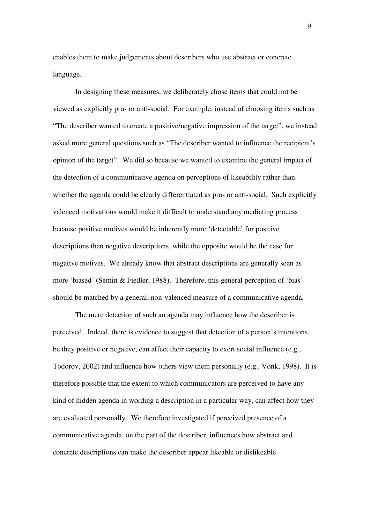enables them to make judgements about describers who use abstract or concrete language.

In designing these measures, we deliberately chose items that could not be viewed as explicitly pro- or anti-social. For example, instead of choosing items such as "The describer wanted to create a positive/negative impression of the target", we instead asked more general questions such as "The describer wanted to influence the recipient's opinion of the target". We did so because we wanted to examine the general impact of the detection of a communicative agenda on perceptions of likeability rather than whether the agenda could be clearly differentiated as pro- or anti-social. Such explicitly valenced motivations would make it difficult to understand any mediating process because positive motives would be inherently more 'detectable' for positive descriptions than negative descriptions, while the opposite would be the case for negative motives. We already know that abstract descriptions are generally seen as more 'biased' (Semin & Fiedler, 1988). Therefore, this general perception of 'bias' should be matched by a general, non-valenced measure of a communicative agenda.

The mere detection of such an agenda may influence how the describer is perceived. Indeed, there is evidence to suggest that detection of a person's intentions, be they positive or negative, can affect their capacity to exert social influence (e.g., Todorov, 2002) and influence how others view them personally (e.g., Vonk, 1998). It is therefore possible that the extent to which communicators are perceived to have any kind of hidden agenda in wording a description in a particular way, can affect how they are evaluated personally. We therefore investigated if perceived presence of a communicative agenda, on the part of the describer, influences how abstract and concrete descriptions can make the describer appear likeable or dislikeable.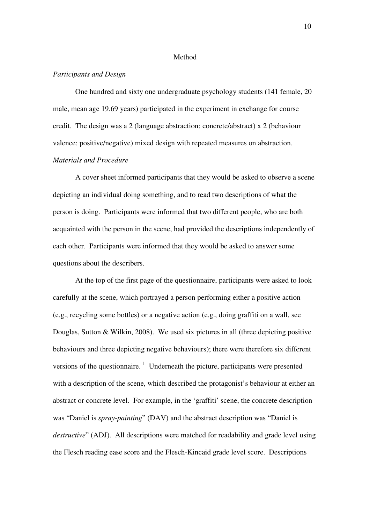#### Method

#### *Participants and Design*

One hundred and sixty one undergraduate psychology students (141 female, 20 male, mean age 19.69 years) participated in the experiment in exchange for course credit. The design was a 2 (language abstraction: concrete/abstract) x 2 (behaviour valence: positive/negative) mixed design with repeated measures on abstraction. *Materials and Procedure* 

 A cover sheet informed participants that they would be asked to observe a scene depicting an individual doing something, and to read two descriptions of what the person is doing. Participants were informed that two different people, who are both acquainted with the person in the scene, had provided the descriptions independently of each other. Participants were informed that they would be asked to answer some questions about the describers.

 At the top of the first page of the questionnaire, participants were asked to look carefully at the scene, which portrayed a person performing either a positive action (e.g., recycling some bottles) or a negative action (e.g., doing graffiti on a wall, see Douglas, Sutton & Wilkin, 2008). We used six pictures in all (three depicting positive behaviours and three depicting negative behaviours); there were therefore six different versions of the questionnaire.  $\frac{1}{1}$  Underneath the picture, participants were presented with a description of the scene, which described the protagonist's behaviour at either an abstract or concrete level. For example, in the 'graffiti' scene, the concrete description was "Daniel is *spray-painting*" (DAV) and the abstract description was "Daniel is *destructive*" (ADJ). All descriptions were matched for readability and grade level using the Flesch reading ease score and the Flesch-Kincaid grade level score. Descriptions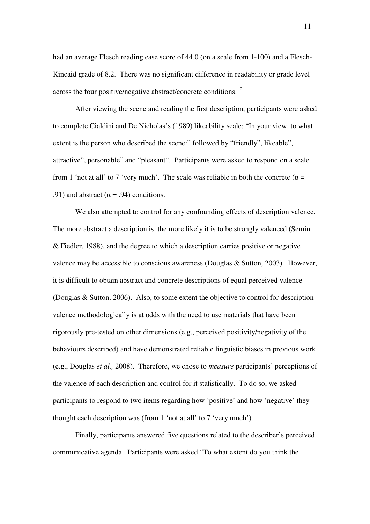had an average Flesch reading ease score of 44.0 (on a scale from 1-100) and a Flesch-Kincaid grade of 8.2. There was no significant difference in readability or grade level across the four positive/negative abstract/concrete conditions.  $2^{\circ}$ 

After viewing the scene and reading the first description, participants were asked to complete Cialdini and De Nicholas's (1989) likeability scale: "In your view, to what extent is the person who described the scene:" followed by "friendly", likeable", attractive", personable" and "pleasant". Participants were asked to respond on a scale from 1 'not at all' to 7 'very much'. The scale was reliable in both the concrete ( $\alpha$  = .91) and abstract ( $\alpha$  = .94) conditions.

We also attempted to control for any confounding effects of description valence. The more abstract a description is, the more likely it is to be strongly valenced (Semin & Fiedler, 1988), and the degree to which a description carries positive or negative valence may be accessible to conscious awareness (Douglas & Sutton, 2003). However, it is difficult to obtain abstract and concrete descriptions of equal perceived valence (Douglas & Sutton, 2006). Also, to some extent the objective to control for description valence methodologically is at odds with the need to use materials that have been rigorously pre-tested on other dimensions (e.g., perceived positivity/negativity of the behaviours described) and have demonstrated reliable linguistic biases in previous work (e.g., Douglas *et al.,* 2008). Therefore, we chose to *measure* participants' perceptions of the valence of each description and control for it statistically. To do so, we asked participants to respond to two items regarding how 'positive' and how 'negative' they thought each description was (from 1 'not at all' to 7 'very much').

Finally, participants answered five questions related to the describer's perceived communicative agenda. Participants were asked "To what extent do you think the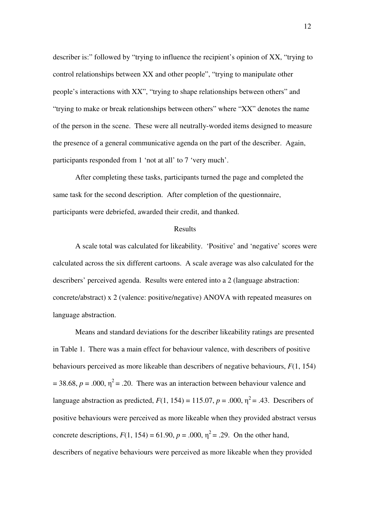describer is:" followed by "trying to influence the recipient's opinion of XX, "trying to control relationships between XX and other people", "trying to manipulate other people's interactions with XX", "trying to shape relationships between others" and "trying to make or break relationships between others" where "XX" denotes the name of the person in the scene. These were all neutrally-worded items designed to measure the presence of a general communicative agenda on the part of the describer. Again, participants responded from 1 'not at all' to 7 'very much'.

After completing these tasks, participants turned the page and completed the same task for the second description. After completion of the questionnaire, participants were debriefed, awarded their credit, and thanked.

#### Results

A scale total was calculated for likeability. 'Positive' and 'negative' scores were calculated across the six different cartoons. A scale average was also calculated for the describers' perceived agenda. Results were entered into a 2 (language abstraction: concrete/abstract) x 2 (valence: positive/negative) ANOVA with repeated measures on language abstraction.

 Means and standard deviations for the describer likeability ratings are presented in Table 1. There was a main effect for behaviour valence, with describers of positive behaviours perceived as more likeable than describers of negative behaviours, *F*(1, 154)  $= 38.68$ ,  $p = .000$ ,  $\eta^2 = .20$ . There was an interaction between behaviour valence and language abstraction as predicted,  $F(1, 154) = 115.07$ ,  $p = .000$ ,  $\eta^2 = .43$ . Describers of positive behaviours were perceived as more likeable when they provided abstract versus concrete descriptions,  $F(1, 154) = 61.90$ ,  $p = .000$ ,  $\eta^2 = .29$ . On the other hand, describers of negative behaviours were perceived as more likeable when they provided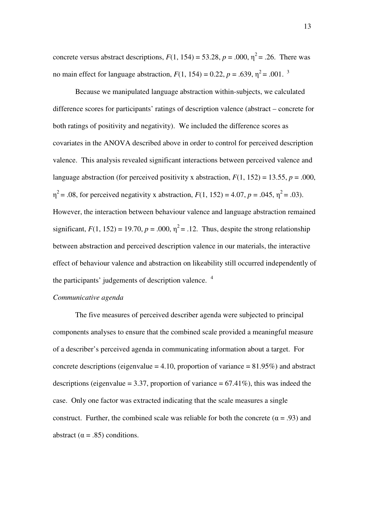concrete versus abstract descriptions,  $F(1, 154) = 53.28$ ,  $p = .000$ ,  $\eta^2 = .26$ . There was no main effect for language abstraction,  $F(1, 154) = 0.22$ ,  $p = .639$ ,  $\eta^2 = .001$ . <sup>3</sup>

Because we manipulated language abstraction within-subjects, we calculated difference scores for participants' ratings of description valence (abstract – concrete for both ratings of positivity and negativity). We included the difference scores as covariates in the ANOVA described above in order to control for perceived description valence. This analysis revealed significant interactions between perceived valence and language abstraction (for perceived positivity x abstraction,  $F(1, 152) = 13.55$ ,  $p = .000$ ,  $\eta^2$  = .08, for perceived negativity x abstraction,  $F(1, 152) = 4.07$ ,  $p = .045$ ,  $\eta^2 = .03$ ). However, the interaction between behaviour valence and language abstraction remained significant,  $F(1, 152) = 19.70$ ,  $p = .000$ ,  $\eta^2 = .12$ . Thus, despite the strong relationship between abstraction and perceived description valence in our materials, the interactive effect of behaviour valence and abstraction on likeability still occurred independently of the participants' judgements of description valence.<sup>4</sup>

#### *Communicative agenda*

The five measures of perceived describer agenda were subjected to principal components analyses to ensure that the combined scale provided a meaningful measure of a describer's perceived agenda in communicating information about a target. For concrete descriptions (eigenvalue  $= 4.10$ , proportion of variance  $= 81.95\%$ ) and abstract descriptions (eigenvalue = 3.37, proportion of variance =  $67.41\%$ ), this was indeed the case. Only one factor was extracted indicating that the scale measures a single construct. Further, the combined scale was reliable for both the concrete ( $\alpha = .93$ ) and abstract ( $\alpha = .85$ ) conditions.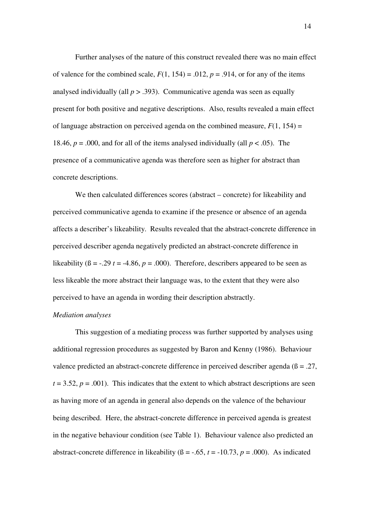Further analyses of the nature of this construct revealed there was no main effect of valence for the combined scale,  $F(1, 154) = .012$ ,  $p = .914$ , or for any of the items analysed individually (all  $p > .393$ ). Communicative agenda was seen as equally present for both positive and negative descriptions. Also, results revealed a main effect of language abstraction on perceived agenda on the combined measure,  $F(1, 154) =$ 18.46,  $p = .000$ , and for all of the items analysed individually (all  $p < .05$ ). The presence of a communicative agenda was therefore seen as higher for abstract than concrete descriptions.

We then calculated differences scores (abstract – concrete) for likeability and perceived communicative agenda to examine if the presence or absence of an agenda affects a describer's likeability. Results revealed that the abstract-concrete difference in perceived describer agenda negatively predicted an abstract-concrete difference in likeability  $(\beta = -0.29 t = -4.86, p = 0.000)$ . Therefore, describers appeared to be seen as less likeable the more abstract their language was, to the extent that they were also perceived to have an agenda in wording their description abstractly.

#### *Mediation analyses*

This suggestion of a mediating process was further supported by analyses using additional regression procedures as suggested by Baron and Kenny (1986). Behaviour valence predicted an abstract-concrete difference in perceived describer agenda ( $\beta = .27$ ,  $t = 3.52$ ,  $p = .001$ ). This indicates that the extent to which abstract descriptions are seen as having more of an agenda in general also depends on the valence of the behaviour being described. Here, the abstract-concrete difference in perceived agenda is greatest in the negative behaviour condition (see Table 1). Behaviour valence also predicted an abstract-concrete difference in likeability ( $\beta$  = -.65,  $t$  = -10.73,  $p$  = .000). As indicated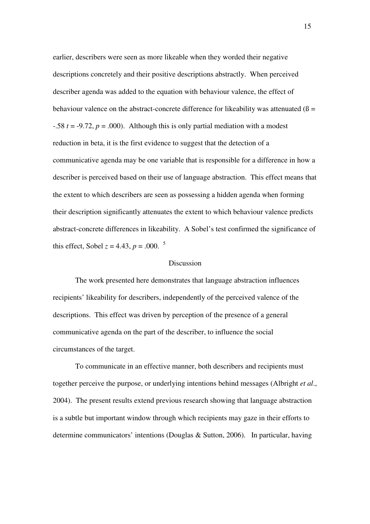earlier, describers were seen as more likeable when they worded their negative descriptions concretely and their positive descriptions abstractly. When perceived describer agenda was added to the equation with behaviour valence, the effect of behaviour valence on the abstract-concrete difference for likeability was attenuated  $(\beta =$  $-0.58$  *t* =  $-9.72$ , *p* = .000). Although this is only partial mediation with a modest reduction in beta, it is the first evidence to suggest that the detection of a communicative agenda may be one variable that is responsible for a difference in how a describer is perceived based on their use of language abstraction. This effect means that the extent to which describers are seen as possessing a hidden agenda when forming their description significantly attenuates the extent to which behaviour valence predicts abstract-concrete differences in likeability. A Sobel's test confirmed the significance of this effect, Sobel  $z = 4.43$ ,  $p = .000$ . <sup>5</sup>

#### **Discussion**

 The work presented here demonstrates that language abstraction influences recipients' likeability for describers, independently of the perceived valence of the descriptions. This effect was driven by perception of the presence of a general communicative agenda on the part of the describer, to influence the social circumstances of the target.

 To communicate in an effective manner, both describers and recipients must together perceive the purpose, or underlying intentions behind messages (Albright *et al*., 2004). The present results extend previous research showing that language abstraction is a subtle but important window through which recipients may gaze in their efforts to determine communicators' intentions (Douglas & Sutton, 2006). In particular, having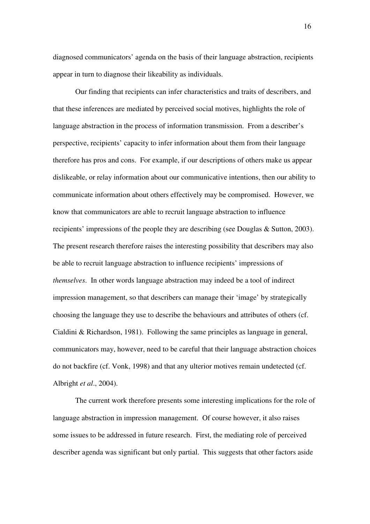diagnosed communicators' agenda on the basis of their language abstraction, recipients appear in turn to diagnose their likeability as individuals.

Our finding that recipients can infer characteristics and traits of describers, and that these inferences are mediated by perceived social motives, highlights the role of language abstraction in the process of information transmission. From a describer's perspective, recipients' capacity to infer information about them from their language therefore has pros and cons. For example, if our descriptions of others make us appear dislikeable, or relay information about our communicative intentions, then our ability to communicate information about others effectively may be compromised. However, we know that communicators are able to recruit language abstraction to influence recipients' impressions of the people they are describing (see Douglas & Sutton, 2003). The present research therefore raises the interesting possibility that describers may also be able to recruit language abstraction to influence recipients' impressions of *themselves*. In other words language abstraction may indeed be a tool of indirect impression management, so that describers can manage their 'image' by strategically choosing the language they use to describe the behaviours and attributes of others (cf. Cialdini & Richardson, 1981). Following the same principles as language in general, communicators may, however, need to be careful that their language abstraction choices do not backfire (cf. Vonk, 1998) and that any ulterior motives remain undetected (cf. Albright *et al*., 2004).

The current work therefore presents some interesting implications for the role of language abstraction in impression management. Of course however, it also raises some issues to be addressed in future research. First, the mediating role of perceived describer agenda was significant but only partial. This suggests that other factors aside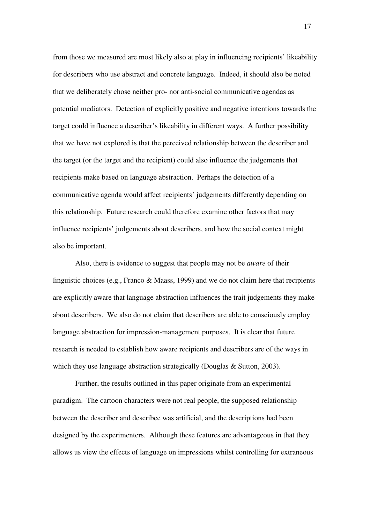from those we measured are most likely also at play in influencing recipients' likeability for describers who use abstract and concrete language. Indeed, it should also be noted that we deliberately chose neither pro- nor anti-social communicative agendas as potential mediators. Detection of explicitly positive and negative intentions towards the target could influence a describer's likeability in different ways. A further possibility that we have not explored is that the perceived relationship between the describer and the target (or the target and the recipient) could also influence the judgements that recipients make based on language abstraction. Perhaps the detection of a communicative agenda would affect recipients' judgements differently depending on this relationship. Future research could therefore examine other factors that may influence recipients' judgements about describers, and how the social context might also be important.

Also, there is evidence to suggest that people may not be *aware* of their linguistic choices (e.g., Franco & Maass, 1999) and we do not claim here that recipients are explicitly aware that language abstraction influences the trait judgements they make about describers. We also do not claim that describers are able to consciously employ language abstraction for impression-management purposes. It is clear that future research is needed to establish how aware recipients and describers are of the ways in which they use language abstraction strategically (Douglas & Sutton, 2003).

Further, the results outlined in this paper originate from an experimental paradigm. The cartoon characters were not real people, the supposed relationship between the describer and describee was artificial, and the descriptions had been designed by the experimenters. Although these features are advantageous in that they allows us view the effects of language on impressions whilst controlling for extraneous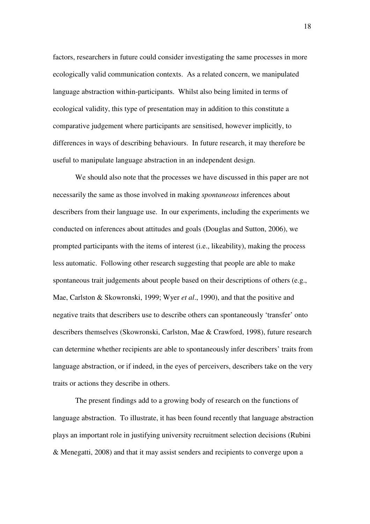factors, researchers in future could consider investigating the same processes in more ecologically valid communication contexts. As a related concern, we manipulated language abstraction within-participants. Whilst also being limited in terms of ecological validity, this type of presentation may in addition to this constitute a comparative judgement where participants are sensitised, however implicitly, to differences in ways of describing behaviours. In future research, it may therefore be useful to manipulate language abstraction in an independent design.

We should also note that the processes we have discussed in this paper are not necessarily the same as those involved in making *spontaneous* inferences about describers from their language use. In our experiments, including the experiments we conducted on inferences about attitudes and goals (Douglas and Sutton, 2006), we prompted participants with the items of interest (i.e., likeability), making the process less automatic. Following other research suggesting that people are able to make spontaneous trait judgements about people based on their descriptions of others (e.g., Mae, Carlston & Skowronski, 1999; Wyer *et al*., 1990), and that the positive and negative traits that describers use to describe others can spontaneously 'transfer' onto describers themselves (Skowronski, Carlston, Mae & Crawford, 1998), future research can determine whether recipients are able to spontaneously infer describers' traits from language abstraction, or if indeed, in the eyes of perceivers, describers take on the very traits or actions they describe in others.

The present findings add to a growing body of research on the functions of language abstraction. To illustrate, it has been found recently that language abstraction plays an important role in justifying university recruitment selection decisions (Rubini & Menegatti, 2008) and that it may assist senders and recipients to converge upon a

18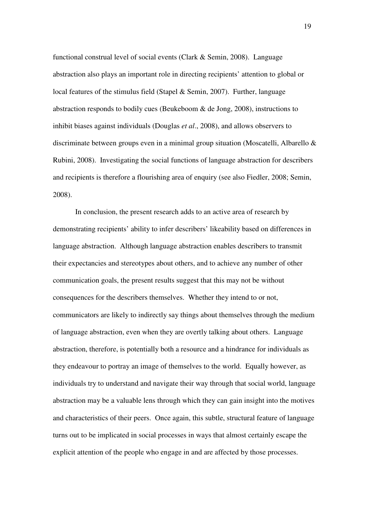functional construal level of social events (Clark & Semin, 2008). Language abstraction also plays an important role in directing recipients' attention to global or local features of the stimulus field (Stapel & Semin, 2007). Further, language abstraction responds to bodily cues (Beukeboom & de Jong, 2008), instructions to inhibit biases against individuals (Douglas *et al*., 2008), and allows observers to discriminate between groups even in a minimal group situation (Moscatelli, Albarello & Rubini, 2008). Investigating the social functions of language abstraction for describers and recipients is therefore a flourishing area of enquiry (see also Fiedler, 2008; Semin, 2008).

In conclusion, the present research adds to an active area of research by demonstrating recipients' ability to infer describers' likeability based on differences in language abstraction. Although language abstraction enables describers to transmit their expectancies and stereotypes about others, and to achieve any number of other communication goals, the present results suggest that this may not be without consequences for the describers themselves. Whether they intend to or not, communicators are likely to indirectly say things about themselves through the medium of language abstraction, even when they are overtly talking about others. Language abstraction, therefore, is potentially both a resource and a hindrance for individuals as they endeavour to portray an image of themselves to the world. Equally however, as individuals try to understand and navigate their way through that social world, language abstraction may be a valuable lens through which they can gain insight into the motives and characteristics of their peers. Once again, this subtle, structural feature of language turns out to be implicated in social processes in ways that almost certainly escape the explicit attention of the people who engage in and are affected by those processes.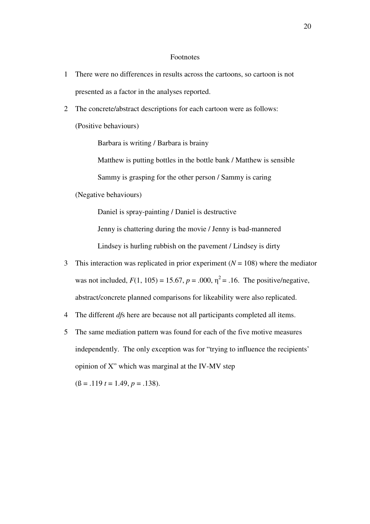#### Footnotes

- 1 There were no differences in results across the cartoons, so cartoon is not presented as a factor in the analyses reported.
- 2 The concrete/abstract descriptions for each cartoon were as follows: (Positive behaviours)

Barbara is writing / Barbara is brainy

Matthew is putting bottles in the bottle bank / Matthew is sensible

Sammy is grasping for the other person / Sammy is caring

(Negative behaviours)

Daniel is spray-painting / Daniel is destructive

Jenny is chattering during the movie / Jenny is bad-mannered

Lindsey is hurling rubbish on the pavement / Lindsey is dirty

- 3 This interaction was replicated in prior experiment  $(N = 108)$  where the mediator was not included,  $F(1, 105) = 15.67$ ,  $p = .000$ ,  $\eta^2 = .16$ . The positive/negative, abstract/concrete planned comparisons for likeability were also replicated.
- 4 The different *df*s here are because not all participants completed all items.
- 5 The same mediation pattern was found for each of the five motive measures independently. The only exception was for "trying to influence the recipients' opinion of X" which was marginal at the IV-MV step

 $(6 = .119 t = 1.49, p = .138).$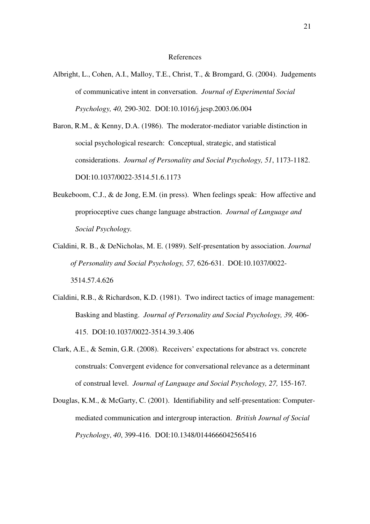#### References

- Albright, L., Cohen, A.I., Malloy, T.E., Christ, T., & Bromgard, G. (2004). Judgements of communicative intent in conversation. *Journal of Experimental Social Psychology, 40,* 290-302. DOI:10.1016/j.jesp.2003.06.004
- Baron, R.M., & Kenny, D.A. (1986). The moderator-mediator variable distinction in social psychological research: Conceptual, strategic, and statistical considerations. *Journal of Personality and Social Psychology, 51*, 1173-1182. DOI:10.1037/0022-3514.51.6.1173
- Beukeboom, C.J., & de Jong, E.M. (in press). When feelings speak: How affective and proprioceptive cues change language abstraction. *Journal of Language and Social Psychology.*
- Cialdini, R. B., & DeNicholas, M. E. (1989). Self-presentation by association. *Journal of Personality and Social Psychology, 57,* 626-631. DOI:10.1037/0022- 3514.57.4.626
- Cialdini, R.B., & Richardson, K.D. (1981). Two indirect tactics of image management: Basking and blasting. *Journal of Personality and Social Psychology, 39,* 406- 415. DOI:10.1037/0022-3514.39.3.406
- Clark, A.E., & Semin, G.R. (2008). Receivers' expectations for abstract vs. concrete construals: Convergent evidence for conversational relevance as a determinant of construal level. *Journal of Language and Social Psychology, 27,* 155-167*.*
- Douglas, K.M., & McGarty, C. (2001). Identifiability and self-presentation: Computermediated communication and intergroup interaction. *British Journal of Social Psychology*, *40*, 399-416. DOI:10.1348/0144666042565416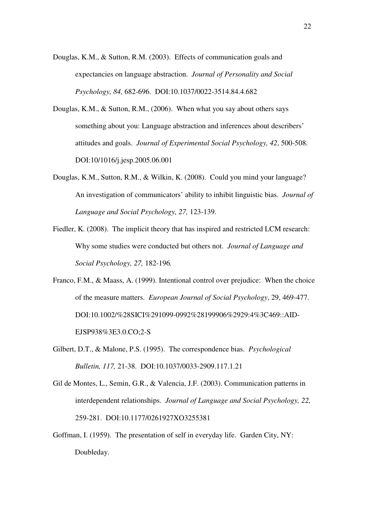- Douglas, K.M., & Sutton, R.M. (2003). Effects of communication goals and expectancies on language abstraction. *Journal of Personality and Social Psychology, 84,* 682-696. DOI:10.1037/0022-3514.84.4.682
- Douglas, K.M., & Sutton, R.M., (2006). When what you say about others says something about you: Language abstraction and inferences about describers' attitudes and goals. *Journal of Experimental Social Psychology, 42*, 500-508. DOI:10/1016/j.jesp.2005.06.001
- Douglas, K.M., Sutton, R.M., & Wilkin, K. (2008). Could you mind your language? An investigation of communicators' ability to inhibit linguistic bias. *Journal of Language and Social Psychology, 27,* 123-139*.*
- Fiedler, K. (2008). The implicit theory that has inspired and restricted LCM research: Why some studies were conducted but others not. *Journal of Language and Social Psychology, 27,* 182-196*.*
- Franco, F.M., & Maass, A. (1999). Intentional control over prejudice: When the choice of the measure matters. *European Journal of Social Psychology*, 29, 469-477. DOI:10.1002/%28SICI%291099-0992%28199906%2929:4%3C469::AID-EJSP938%3E3.0.CO;2-S
- Gilbert, D.T., & Malone, P.S. (1995). The correspondence bias. *Psychological Bulletin, 117,* 21-38. DOI:10.1037/0033-2909.117.1.21
- Gil de Montes, L., Semin, G.R., & Valencia, J.F. (2003). Communication patterns in interdependent relationships. *Journal of Language and Social Psychology, 22,*  259-281. DOI:10.1177/0261927XO3255381
- Goffman, I. (1959). The presentation of self in everyday life. Garden City, NY: Doubleday.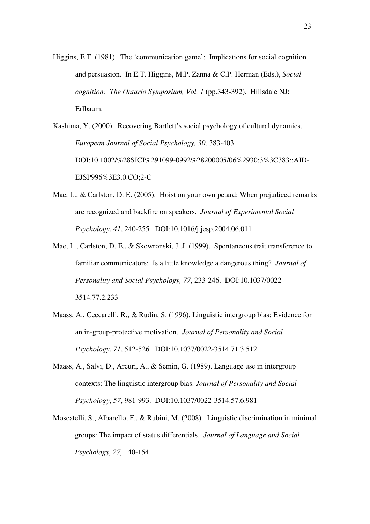Higgins, E.T. (1981). The 'communication game': Implications for social cognition and persuasion. In E.T. Higgins, M.P. Zanna & C.P. Herman (Eds.), *Social cognition: The Ontario Symposium, Vol. 1* (pp.343-392). Hillsdale NJ: Erlbaum.

Kashima, Y. (2000). Recovering Bartlett's social psychology of cultural dynamics. *European Journal of Social Psychology, 30,* 383-403. DOI:10.1002/%28SICI%291099-0992%28200005/06%2930:3%3C383::AID-EJSP996%3E3.0.CO;2-C

- Mae, L., & Carlston, D. E. (2005). Hoist on your own petard: When prejudiced remarks are recognized and backfire on speakers. *Journal of Experimental Social Psychology*, *41*, 240-255. DOI:10.1016/j.jesp.2004.06.011
- Mae, L., Carlston, D. E., & Skowronski, J .J. (1999). Spontaneous trait transference to familiar communicators: Is a little knowledge a dangerous thing? *Journal of Personality and Social Psychology, 77*, 233-246. DOI:10.1037/0022- 3514.77.2.233
- Maass, A., Ceccarelli, R., & Rudin, S. (1996). Linguistic intergroup bias: Evidence for an in-group-protective motivation. *Journal of Personality and Social Psychology*, *71*, 512-526. DOI:10.1037/0022-3514.71.3.512
- Maass, A., Salvi, D., Arcuri, A., & Semin, G. (1989). Language use in intergroup contexts: The linguistic intergroup bias. *Journal of Personality and Social Psychology*, *57*, 981-993. DOI:10.1037/0022-3514.57.6.981
- Moscatelli, S., Albarello, F., & Rubini, M. (2008). Linguistic discrimination in minimal groups: The impact of status differentials. *Journal of Language and Social Psychology, 27,* 140-154.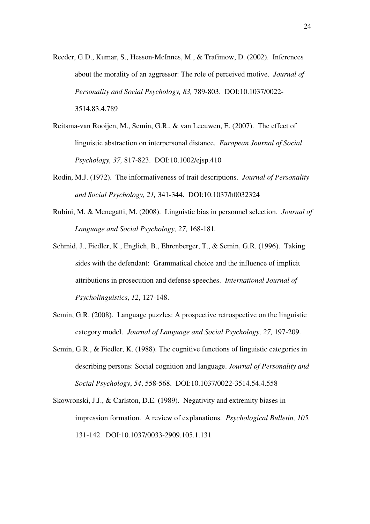- Reeder, G.D., Kumar, S., Hesson-McInnes, M., & Trafimow, D. (2002). Inferences about the morality of an aggressor: The role of perceived motive. *Journal of Personality and Social Psychology, 83,* 789-803. DOI:10.1037/0022- 3514.83.4.789
- Reitsma-van Rooijen, M., Semin, G.R., & van Leeuwen, E. (2007). The effect of linguistic abstraction on interpersonal distance. *European Journal of Social Psychology, 37,* 817-823. DOI:10.1002/ejsp.410
- Rodin, M.J. (1972). The informativeness of trait descriptions. *Journal of Personality and Social Psychology, 21,* 341-344. DOI:10.1037/h0032324
- Rubini, M. & Menegatti, M. (2008). Linguistic bias in personnel selection. *Journal of Language and Social Psychology, 27,* 168-181*.*
- Schmid, J., Fiedler, K., Englich, B., Ehrenberger, T., & Semin, G.R. (1996). Taking sides with the defendant: Grammatical choice and the influence of implicit attributions in prosecution and defense speeches. *International Journal of Psycholinguistics*, *12*, 127-148.
- Semin, G.R. (2008). Language puzzles: A prospective retrospective on the linguistic category model. *Journal of Language and Social Psychology, 27,* 197-209.
- Semin, G.R., & Fiedler, K. (1988). The cognitive functions of linguistic categories in describing persons: Social cognition and language. *Journal of Personality and Social Psychology*, *54*, 558-568. DOI:10.1037/0022-3514.54.4.558
- Skowronski, J.J., & Carlston, D.E. (1989). Negativity and extremity biases in impression formation. A review of explanations. *Psychological Bulletin, 105,*  131-142. DOI:10.1037/0033-2909.105.1.131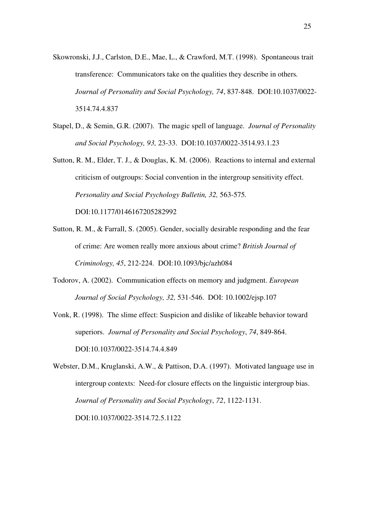- Skowronski, J.J., Carlston, D.E., Mae, L., & Crawford, M.T. (1998). Spontaneous trait transference: Communicators take on the qualities they describe in others*. Journal of Personality and Social Psychology, 74*, 837-848. DOI:10.1037/0022- 3514.74.4.837
- Stapel, D., & Semin, G.R. (2007). The magic spell of language. *Journal of Personality and Social Psychology, 93,* 23-33. DOI:10.1037/0022-3514.93.1.23
- Sutton, R. M., Elder, T. J., & Douglas, K. M. (2006). Reactions to internal and external criticism of outgroups: Social convention in the intergroup sensitivity effect. *Personality and Social Psychology Bulletin, 32,* 563-575*.* DOI:10.1177/0146167205282992
- Sutton, R. M., & Farrall, S. (2005). Gender, socially desirable responding and the fear of crime: Are women really more anxious about crime? *British Journal of Criminology, 45*, 212-224. DOI:10.1093/bjc/azh084
- Todorov, A. (2002). Communication effects on memory and judgment. *European Journal of Social Psychology, 32,* 531-546. DOI: 10.1002/ejsp.107
- Vonk, R. (1998). The slime effect: Suspicion and dislike of likeable behavior toward superiors. *Journal of Personality and Social Psychology*, *74*, 849-864. DOI:10.1037/0022-3514.74.4.849

Webster, D.M., Kruglanski, A.W., & Pattison, D.A. (1997). Motivated language use in intergroup contexts: Need-for closure effects on the linguistic intergroup bias. *Journal of Personality and Social Psychology*, *72*, 1122-1131. DOI:10.1037/0022-3514.72.5.1122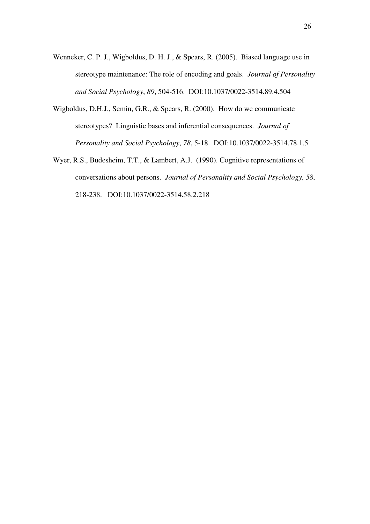- Wenneker, C. P. J., Wigboldus, D. H. J., & Spears, R. (2005). Biased language use in stereotype maintenance: The role of encoding and goals. *Journal of Personality and Social Psychology*, *89*, 504-516. DOI:10.1037/0022-3514.89.4.504
- Wigboldus, D.H.J., Semin, G.R., & Spears, R. (2000). How do we communicate stereotypes? Linguistic bases and inferential consequences. *Journal of Personality and Social Psychology*, *78*, 5-18. DOI:10.1037/0022-3514.78.1.5
- Wyer, R.S., Budesheim, T.T., & Lambert, A.J. (1990). Cognitive representations of conversations about persons. *Journal of Personality and Social Psychology, 58*, 218-238. DOI:10.1037/0022-3514.58.2.218